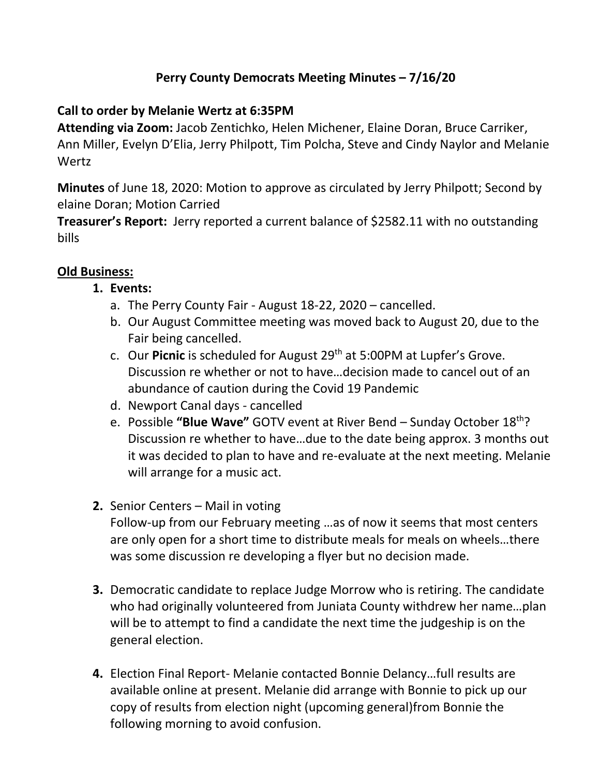# **Perry County Democrats Meeting Minutes – 7/16/20**

### **Call to order by Melanie Wertz at 6:35PM**

**Attending via Zoom:** Jacob Zentichko, Helen Michener, Elaine Doran, Bruce Carriker, Ann Miller, Evelyn D'Elia, Jerry Philpott, Tim Polcha, Steve and Cindy Naylor and Melanie **Wertz** 

**Minutes** of June 18, 2020: Motion to approve as circulated by Jerry Philpott; Second by elaine Doran; Motion Carried

**Treasurer's Report:** Jerry reported a current balance of \$2582.11 with no outstanding bills

## **Old Business:**

#### **1. Events:**

- a. The Perry County Fair August 18-22, 2020 cancelled.
- b. Our August Committee meeting was moved back to August 20, due to the Fair being cancelled.
- c. Our **Picnic** is scheduled for August 29th at 5:00PM at Lupfer's Grove. Discussion re whether or not to have…decision made to cancel out of an abundance of caution during the Covid 19 Pandemic
- d. Newport Canal days cancelled
- e. Possible **"Blue Wave"** GOTV event at River Bend Sunday October 18th? Discussion re whether to have…due to the date being approx. 3 months out it was decided to plan to have and re-evaluate at the next meeting. Melanie will arrange for a music act.
- **2.** Senior Centers Mail in voting

Follow-up from our February meeting …as of now it seems that most centers are only open for a short time to distribute meals for meals on wheels…there was some discussion re developing a flyer but no decision made.

- **3.** Democratic candidate to replace Judge Morrow who is retiring. The candidate who had originally volunteered from Juniata County withdrew her name…plan will be to attempt to find a candidate the next time the judgeship is on the general election.
- **4.** Election Final Report- Melanie contacted Bonnie Delancy…full results are available online at present. Melanie did arrange with Bonnie to pick up our copy of results from election night (upcoming general)from Bonnie the following morning to avoid confusion.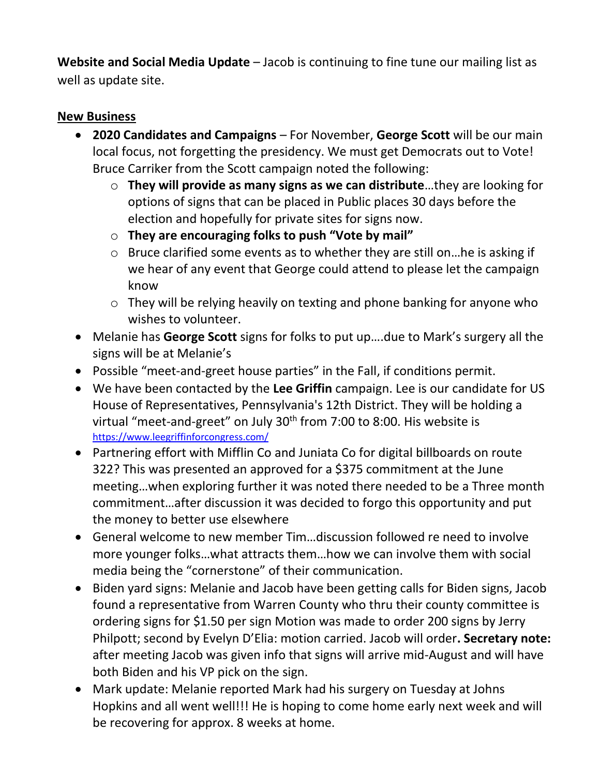**Website and Social Media Update** – Jacob is continuing to fine tune our mailing list as well as update site.

#### **New Business**

- **2020 Candidates and Campaigns** For November, **George Scott** will be our main local focus, not forgetting the presidency. We must get Democrats out to Vote! Bruce Carriker from the Scott campaign noted the following:
	- o **They will provide as many signs as we can distribute**…they are looking for options of signs that can be placed in Public places 30 days before the election and hopefully for private sites for signs now.
	- o **They are encouraging folks to push "Vote by mail"**
	- o Bruce clarified some events as to whether they are still on…he is asking if we hear of any event that George could attend to please let the campaign know
	- o They will be relying heavily on texting and phone banking for anyone who wishes to volunteer.
- Melanie has **George Scott** signs for folks to put up….due to Mark's surgery all the signs will be at Melanie's
- Possible "meet-and-greet house parties" in the Fall, if conditions permit.
- We have been contacted by the **Lee Griffin** campaign. Lee is our candidate for US House of Representatives, Pennsylvania's 12th District. They will be holding a virtual "meet-and-greet" on July 30<sup>th</sup> from 7:00 to 8:00. His website is <https://www.leegriffinforcongress.com/>
- Partnering effort with Mifflin Co and Juniata Co for digital billboards on route 322? This was presented an approved for a \$375 commitment at the June meeting…when exploring further it was noted there needed to be a Three month commitment…after discussion it was decided to forgo this opportunity and put the money to better use elsewhere
- General welcome to new member Tim…discussion followed re need to involve more younger folks…what attracts them…how we can involve them with social media being the "cornerstone" of their communication.
- Biden yard signs: Melanie and Jacob have been getting calls for Biden signs, Jacob found a representative from Warren County who thru their county committee is ordering signs for \$1.50 per sign Motion was made to order 200 signs by Jerry Philpott; second by Evelyn D'Elia: motion carried. Jacob will order**. Secretary note:**  after meeting Jacob was given info that signs will arrive mid-August and will have both Biden and his VP pick on the sign.
- Mark update: Melanie reported Mark had his surgery on Tuesday at Johns Hopkins and all went well!!! He is hoping to come home early next week and will be recovering for approx. 8 weeks at home.